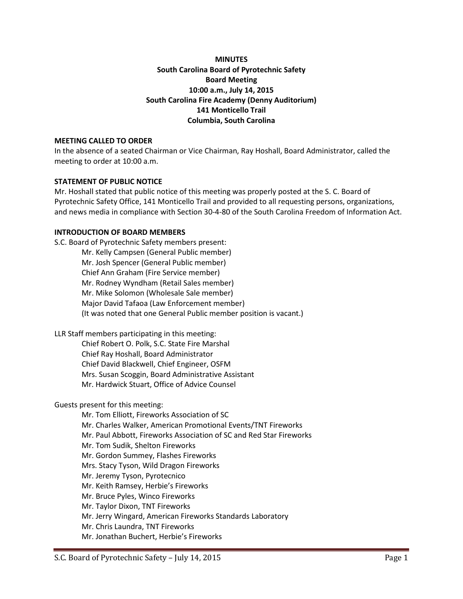## **MINUTES South Carolina Board of Pyrotechnic Safety Board Meeting 10:00 a.m., July 14, 2015 South Carolina Fire Academy (Denny Auditorium) 141 Monticello Trail Columbia, South Carolina**

#### **MEETING CALLED TO ORDER**

In the absence of a seated Chairman or Vice Chairman, Ray Hoshall, Board Administrator, called the meeting to order at 10:00 a.m.

#### **STATEMENT OF PUBLIC NOTICE**

Mr. Hoshall stated that public notice of this meeting was properly posted at the S. C. Board of Pyrotechnic Safety Office, 141 Monticello Trail and provided to all requesting persons, organizations, and news media in compliance with Section 30-4-80 of the South Carolina Freedom of Information Act.

### **INTRODUCTION OF BOARD MEMBERS**

S.C. Board of Pyrotechnic Safety members present: Mr. Kelly Campsen (General Public member) Mr. Josh Spencer (General Public member) Chief Ann Graham (Fire Service member) Mr. Rodney Wyndham (Retail Sales member) Mr. Mike Solomon (Wholesale Sale member) Major David Tafaoa (Law Enforcement member) (It was noted that one General Public member position is vacant.)

LLR Staff members participating in this meeting:

Chief Robert O. Polk, S.C. State Fire Marshal Chief Ray Hoshall, Board Administrator Chief David Blackwell, Chief Engineer, OSFM Mrs. Susan Scoggin, Board Administrative Assistant Mr. Hardwick Stuart, Office of Advice Counsel

#### Guests present for this meeting:

Mr. Tom Elliott, Fireworks Association of SC Mr. Charles Walker, American Promotional Events/TNT Fireworks Mr. Paul Abbott, Fireworks Association of SC and Red Star Fireworks Mr. Tom Sudik, Shelton Fireworks Mr. Gordon Summey, Flashes Fireworks Mrs. Stacy Tyson, Wild Dragon Fireworks Mr. Jeremy Tyson, Pyrotecnico Mr. Keith Ramsey, Herbie's Fireworks Mr. Bruce Pyles, Winco Fireworks Mr. Taylor Dixon, TNT Fireworks Mr. Jerry Wingard, American Fireworks Standards Laboratory Mr. Chris Laundra, TNT Fireworks Mr. Jonathan Buchert, Herbie's Fireworks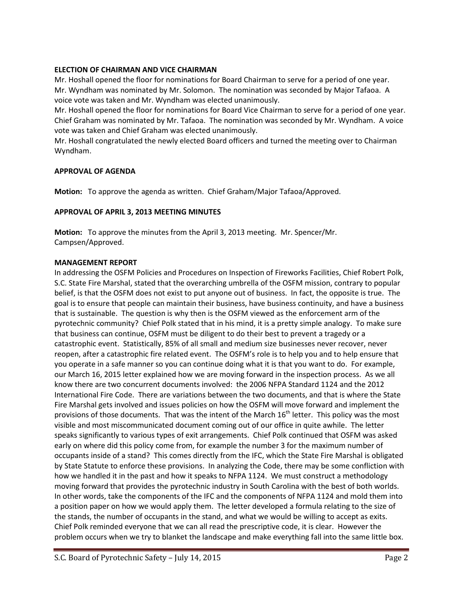### **ELECTION OF CHAIRMAN AND VICE CHAIRMAN**

Mr. Hoshall opened the floor for nominations for Board Chairman to serve for a period of one year. Mr. Wyndham was nominated by Mr. Solomon. The nomination was seconded by Major Tafaoa. A voice vote was taken and Mr. Wyndham was elected unanimously.

Mr. Hoshall opened the floor for nominations for Board Vice Chairman to serve for a period of one year. Chief Graham was nominated by Mr. Tafaoa. The nomination was seconded by Mr. Wyndham. A voice vote was taken and Chief Graham was elected unanimously.

Mr. Hoshall congratulated the newly elected Board officers and turned the meeting over to Chairman Wyndham.

### **APPROVAL OF AGENDA**

**Motion:** To approve the agenda as written. Chief Graham/Major Tafaoa/Approved.

### **APPROVAL OF APRIL 3, 2013 MEETING MINUTES**

**Motion:** To approve the minutes from the April 3, 2013 meeting. Mr. Spencer/Mr. Campsen/Approved.

#### **MANAGEMENT REPORT**

In addressing the OSFM Policies and Procedures on Inspection of Fireworks Facilities, Chief Robert Polk, S.C. State Fire Marshal, stated that the overarching umbrella of the OSFM mission, contrary to popular belief, is that the OSFM does not exist to put anyone out of business. In fact, the opposite is true. The goal is to ensure that people can maintain their business, have business continuity, and have a business that is sustainable. The question is why then is the OSFM viewed as the enforcement arm of the pyrotechnic community? Chief Polk stated that in his mind, it is a pretty simple analogy. To make sure that business can continue, OSFM must be diligent to do their best to prevent a tragedy or a catastrophic event. Statistically, 85% of all small and medium size businesses never recover, never reopen, after a catastrophic fire related event. The OSFM's role is to help you and to help ensure that you operate in a safe manner so you can continue doing what it is that you want to do. For example, our March 16, 2015 letter explained how we are moving forward in the inspection process. As we all know there are two concurrent documents involved: the 2006 NFPA Standard 1124 and the 2012 International Fire Code. There are variations between the two documents, and that is where the State Fire Marshal gets involved and issues policies on how the OSFM will move forward and implement the provisions of those documents. That was the intent of the March  $16<sup>th</sup>$  letter. This policy was the most visible and most miscommunicated document coming out of our office in quite awhile. The letter speaks significantly to various types of exit arrangements. Chief Polk continued that OSFM was asked early on where did this policy come from, for example the number 3 for the maximum number of occupants inside of a stand? This comes directly from the IFC, which the State Fire Marshal is obligated by State Statute to enforce these provisions. In analyzing the Code, there may be some confliction with how we handled it in the past and how it speaks to NFPA 1124. We must construct a methodology moving forward that provides the pyrotechnic industry in South Carolina with the best of both worlds. In other words, take the components of the IFC and the components of NFPA 1124 and mold them into a position paper on how we would apply them. The letter developed a formula relating to the size of the stands, the number of occupants in the stand, and what we would be willing to accept as exits. Chief Polk reminded everyone that we can all read the prescriptive code, it is clear. However the problem occurs when we try to blanket the landscape and make everything fall into the same little box.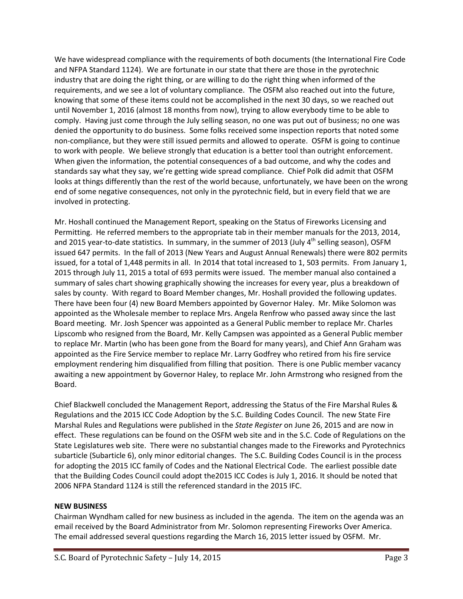We have widespread compliance with the requirements of both documents (the International Fire Code and NFPA Standard 1124). We are fortunate in our state that there are those in the pyrotechnic industry that are doing the right thing, or are willing to do the right thing when informed of the requirements, and we see a lot of voluntary compliance. The OSFM also reached out into the future, knowing that some of these items could not be accomplished in the next 30 days, so we reached out until November 1, 2016 (almost 18 months from now), trying to allow everybody time to be able to comply. Having just come through the July selling season, no one was put out of business; no one was denied the opportunity to do business. Some folks received some inspection reports that noted some non-compliance, but they were still issued permits and allowed to operate. OSFM is going to continue to work with people. We believe strongly that education is a better tool than outright enforcement. When given the information, the potential consequences of a bad outcome, and why the codes and standards say what they say, we're getting wide spread compliance. Chief Polk did admit that OSFM looks at things differently than the rest of the world because, unfortunately, we have been on the wrong end of some negative consequences, not only in the pyrotechnic field, but in every field that we are involved in protecting.

Mr. Hoshall continued the Management Report, speaking on the Status of Fireworks Licensing and Permitting. He referred members to the appropriate tab in their member manuals for the 2013, 2014, and 2015 year-to-date statistics. In summary, in the summer of 2013 (July  $4^{th}$  selling season), OSFM issued 647 permits. In the fall of 2013 (New Years and August Annual Renewals) there were 802 permits issued, for a total of 1,448 permits in all. In 2014 that total increased to 1, 503 permits. From January 1, 2015 through July 11, 2015 a total of 693 permits were issued. The member manual also contained a summary of sales chart showing graphically showing the increases for every year, plus a breakdown of sales by county. With regard to Board Member changes, Mr. Hoshall provided the following updates. There have been four (4) new Board Members appointed by Governor Haley. Mr. Mike Solomon was appointed as the Wholesale member to replace Mrs. Angela Renfrow who passed away since the last Board meeting. Mr. Josh Spencer was appointed as a General Public member to replace Mr. Charles Lipscomb who resigned from the Board, Mr. Kelly Campsen was appointed as a General Public member to replace Mr. Martin (who has been gone from the Board for many years), and Chief Ann Graham was appointed as the Fire Service member to replace Mr. Larry Godfrey who retired from his fire service employment rendering him disqualified from filling that position. There is one Public member vacancy awaiting a new appointment by Governor Haley, to replace Mr. John Armstrong who resigned from the Board.

Chief Blackwell concluded the Management Report, addressing the Status of the Fire Marshal Rules & Regulations and the 2015 ICC Code Adoption by the S.C. Building Codes Council. The new State Fire Marshal Rules and Regulations were published in the *State Register* on June 26, 2015 and are now in effect. These regulations can be found on the OSFM web site and in the S.C. Code of Regulations on the State Legislatures web site. There were no substantial changes made to the Fireworks and Pyrotechnics subarticle (Subarticle 6), only minor editorial changes. The S.C. Building Codes Council is in the process for adopting the 2015 ICC family of Codes and the National Electrical Code. The earliest possible date that the Building Codes Council could adopt the2015 ICC Codes is July 1, 2016. It should be noted that 2006 NFPA Standard 1124 is still the referenced standard in the 2015 IFC.

# **NEW BUSINESS**

Chairman Wyndham called for new business as included in the agenda. The item on the agenda was an email received by the Board Administrator from Mr. Solomon representing Fireworks Over America. The email addressed several questions regarding the March 16, 2015 letter issued by OSFM. Mr.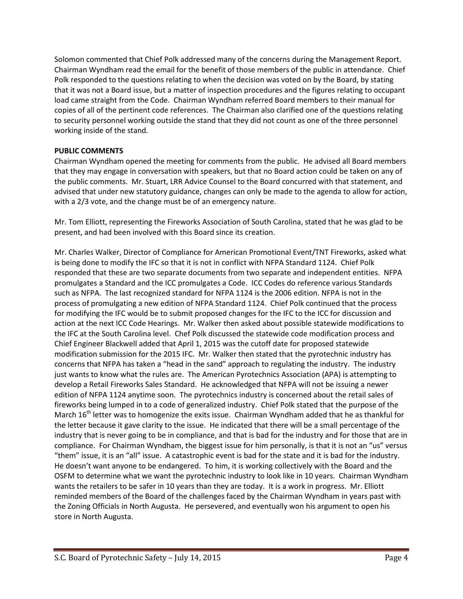Solomon commented that Chief Polk addressed many of the concerns during the Management Report. Chairman Wyndham read the email for the benefit of those members of the public in attendance. Chief Polk responded to the questions relating to when the decision was voted on by the Board, by stating that it was not a Board issue, but a matter of inspection procedures and the figures relating to occupant load came straight from the Code. Chairman Wyndham referred Board members to their manual for copies of all of the pertinent code references. The Chairman also clarified one of the questions relating to security personnel working outside the stand that they did not count as one of the three personnel working inside of the stand.

# **PUBLIC COMMENTS**

Chairman Wyndham opened the meeting for comments from the public. He advised all Board members that they may engage in conversation with speakers, but that no Board action could be taken on any of the public comments. Mr. Stuart, LRR Advice Counsel to the Board concurred with that statement, and advised that under new statutory guidance, changes can only be made to the agenda to allow for action, with a 2/3 vote, and the change must be of an emergency nature.

Mr. Tom Elliott, representing the Fireworks Association of South Carolina, stated that he was glad to be present, and had been involved with this Board since its creation.

Mr. Charles Walker, Director of Compliance for American Promotional Event/TNT Fireworks, asked what is being done to modify the IFC so that it is not in conflict with NFPA Standard 1124. Chief Polk responded that these are two separate documents from two separate and independent entities. NFPA promulgates a Standard and the ICC promulgates a Code. ICC Codes do reference various Standards such as NFPA. The last recognized standard for NFPA 1124 is the 2006 edition. NFPA is not in the process of promulgating a new edition of NFPA Standard 1124. Chief Polk continued that the process for modifying the IFC would be to submit proposed changes for the IFC to the ICC for discussion and action at the next ICC Code Hearings. Mr. Walker then asked about possible statewide modifications to the IFC at the South Carolina level. Chef Polk discussed the statewide code modification process and Chief Engineer Blackwell added that April 1, 2015 was the cutoff date for proposed statewide modification submission for the 2015 IFC. Mr. Walker then stated that the pyrotechnic industry has concerns that NFPA has taken a "head in the sand" approach to regulating the industry. The industry just wants to know what the rules are. The American Pyrotechnics Association (APA) is attempting to develop a Retail Fireworks Sales Standard. He acknowledged that NFPA will not be issuing a newer edition of NFPA 1124 anytime soon. The pyrotechnics industry is concerned about the retail sales of fireworks being lumped in to a code of generalized industry. Chief Polk stated that the purpose of the March 16<sup>th</sup> letter was to homogenize the exits issue. Chairman Wyndham added that he as thankful for the letter because it gave clarity to the issue. He indicated that there will be a small percentage of the industry that is never going to be in compliance, and that is bad for the industry and for those that are in compliance. For Chairman Wyndham, the biggest issue for him personally, is that it is not an "us" versus "them" issue, it is an "all" issue. A catastrophic event is bad for the state and it is bad for the industry. He doesn't want anyone to be endangered. To him, it is working collectively with the Board and the OSFM to determine what we want the pyrotechnic industry to look like in 10 years. Chairman Wyndham wants the retailers to be safer in 10 years than they are today. It is a work in progress. Mr. Elliott reminded members of the Board of the challenges faced by the Chairman Wyndham in years past with the Zoning Officials in North Augusta. He persevered, and eventually won his argument to open his store in North Augusta.